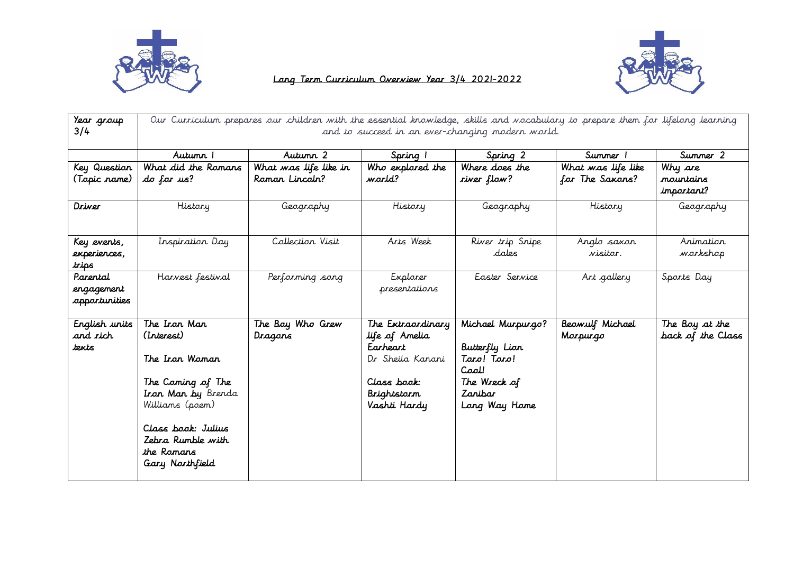



## Long Term Curriculum Overview Year 3/4 2021-2022

| Year group<br>3/4                       | Our Curriculum prepares our children with the essential knowledge, skills and wocabulary to prepare them for lifelong learning<br>and to succeed in an ever-changing modern world.     |                                         |                                                                                                                   |                                                                                                         |                                       |                                     |  |
|-----------------------------------------|----------------------------------------------------------------------------------------------------------------------------------------------------------------------------------------|-----------------------------------------|-------------------------------------------------------------------------------------------------------------------|---------------------------------------------------------------------------------------------------------|---------------------------------------|-------------------------------------|--|
|                                         | Autunn 1                                                                                                                                                                               | Autumn 2                                | Spring 1                                                                                                          | Spring 2                                                                                                | Summer 1                              | Summer 2                            |  |
| Key Question<br>(Topic rame)            | What did the Ramans<br>do for us?                                                                                                                                                      | What was life like in<br>Roman Lincoln? | Who explored the<br>warld?                                                                                        | Where does the<br>river flow?                                                                           | What was life like<br>for The Saxons? | Why are<br>mountains<br>important?  |  |
| Driver                                  | History                                                                                                                                                                                | Geography                               | History                                                                                                           | Geography                                                                                               | History                               | Geography                           |  |
| Key events,<br>experiences,<br>trips    | Inspiration Day                                                                                                                                                                        | Collection Visit                        | Arts Week                                                                                                         | River trip Snipe<br>dales                                                                               | Anglo saxon<br>visitor.               | Animation<br>workshop               |  |
| Parental<br>engagement<br>opportunities | Harvest festival                                                                                                                                                                       | Performing song                         | Explorer<br>presentations                                                                                         | Easter Service                                                                                          | Art gallery                           | Sports Day                          |  |
| English units<br>and rich<br>texts      | The Iron Man<br>(Interest)<br>The Iran Waman<br>The Coming of The<br>Iron Man by Brenda<br>Williams (poem)<br>Class book: Julius<br>Zebra Rumble with<br>the Ramans<br>Gary Northfield | The Boy Who Grew<br>Dragons             | The Extraordinary<br>life of Amelia<br>Earheart<br>Dr Sheila Kanani<br>Class book:<br>Brightstorm<br>Vashti Hardy | Michael Murpurgo?<br>Butterfly Lion<br>Taro! Taro!<br>Cool!<br>The Wreck of<br>Zanibar<br>Long Way Home | Beowulf Michael<br>Marpurgo           | The Boy at the<br>back of the Class |  |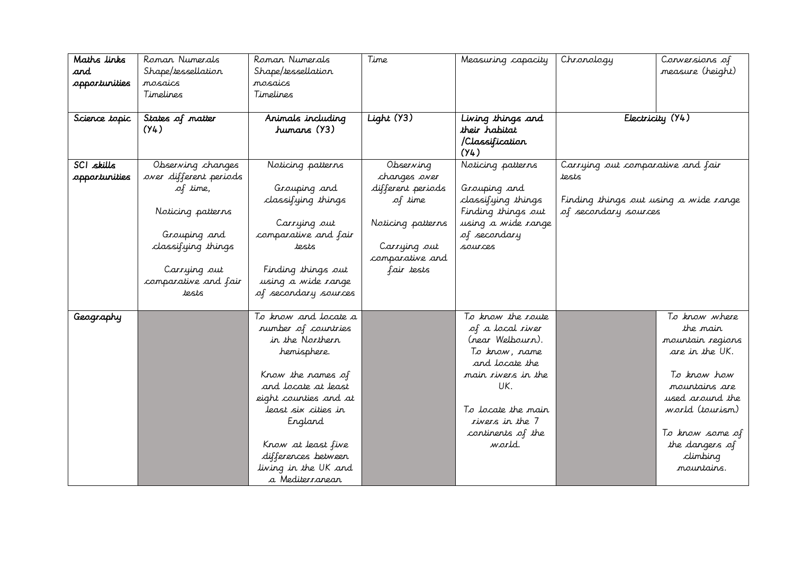| Maths links   | Roman Numerals                       | Roman Numerals                           | Time              | Measuring capacity | Chronology                            | Conversions of   |
|---------------|--------------------------------------|------------------------------------------|-------------------|--------------------|---------------------------------------|------------------|
| and           | Shape/tessellation                   | Shape/tessellation                       |                   |                    |                                       | measure (height) |
| opportunities | mosaics                              | mosaics                                  |                   |                    |                                       |                  |
|               | Timelines                            | Timelines                                |                   |                    |                                       |                  |
|               |                                      |                                          |                   |                    |                                       |                  |
| Science topic | States of matter                     | Animals including                        | Light $(Y3)$      | Living things and  |                                       | Electricity (Y4) |
|               | (Y4)                                 | humans (Y3)                              |                   | their habitat      |                                       |                  |
|               |                                      |                                          |                   | /Classification    |                                       |                  |
|               |                                      |                                          |                   | (Y4)               |                                       |                  |
| SCI skills    | Observing changes                    | Noticing patterns                        | Observing         | Noticing patterns  | Carrying out comparative and fair     |                  |
| opportunities | over different periods               |                                          | changes over      |                    | tests                                 |                  |
|               | of time,                             | Grouping and                             | different periods | Grouping and       |                                       |                  |
|               |                                      | classifying things                       | of time           | classifying things | Finding things out using a wide range |                  |
|               | Noticing patterns                    |                                          |                   | Finding things out | of secondary sources                  |                  |
|               |                                      | Carrying out                             | Noticing patterns | using a wide range |                                       |                  |
|               | Grouping and                         | comparative and fair                     |                   | of secondary       |                                       |                  |
|               | classifying things                   | tests                                    | Carrying out      | sources            |                                       |                  |
|               |                                      |                                          | comparative and   |                    |                                       |                  |
|               | Carrying out<br>comparative and fair | Finding things out<br>using a wide range | fair tests        |                    |                                       |                  |
|               | tests                                | of secondary sources                     |                   |                    |                                       |                  |
|               |                                      |                                          |                   |                    |                                       |                  |
| Geography     |                                      | To know and locate a                     |                   | To know the route  |                                       | To know where    |
|               |                                      | number of countries                      |                   | of a local river   |                                       | the mair         |
|               |                                      | in the Northern                          |                   | (near Welbourn).   |                                       | mountain regions |
|               |                                      | hemisphere.                              |                   | To know, name      |                                       | are in the UK.   |
|               |                                      |                                          |                   | and locate the     |                                       |                  |
|               |                                      | Know the names of                        |                   | main rivers in the |                                       | To know how      |
|               |                                      | and locate at least                      |                   | UK.                |                                       | mountains are    |
|               |                                      | eight counties and at                    |                   |                    |                                       | used around the  |
|               |                                      | least six cities in                      |                   | To locate the main |                                       | world (tourism)  |
|               |                                      | England                                  |                   | rivers in the 7    |                                       |                  |
|               |                                      |                                          |                   | continents of the  |                                       | To know some of  |
|               |                                      | Know at least five                       |                   | world.             |                                       | the dangers of   |
|               |                                      | differences between                      |                   |                    |                                       | climbing         |
|               |                                      | living in the UK and                     |                   |                    |                                       | mountains.       |
|               |                                      | a Mediterranean                          |                   |                    |                                       |                  |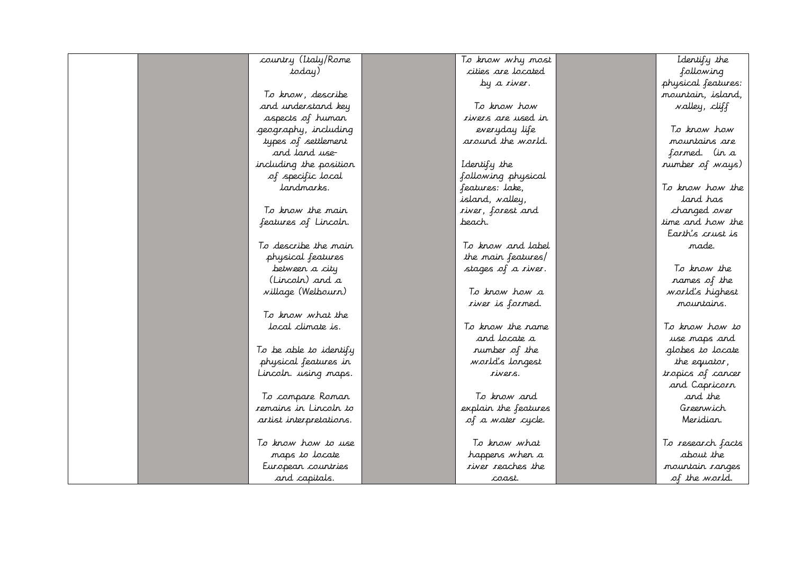| country (Italy/Rome     | To know why most         | Identify the         |
|-------------------------|--------------------------|----------------------|
| today)                  | cities are located       | following            |
|                         | by a river.              | physical features:   |
| To know, describe       |                          | mountain, island,    |
| and understand key      | To know how              | <i>valley, cliff</i> |
| aspects of human        | rivers are used in       |                      |
| geography, including    | everyday life            | To know how          |
| types of settlement     | around the world.        | mountains are        |
| and land use-           |                          | formed. (in a        |
| including the position  | Identify the             | number of ways)      |
| of specific local       | following physical       |                      |
| landmarks.              | features: lake,          | To know how the      |
|                         | island, valley,          | land has             |
| To know the main        | river, forest and        | changed over         |
| features of Lincoln.    | beach.                   | time and how the     |
|                         |                          | Earth's crust is     |
| To describe the main    | To know and label        | made.                |
| physical features       | the main features/       |                      |
| between a city          | stages of a river.       | To know the          |
| (Lincoln) and a         |                          | names of the         |
| village (Welbourn)      | To know how a            | world's highest      |
|                         | river is formed.         | mountains.           |
| To know what the        |                          |                      |
| local climate is.       | To know the name         | To know how to       |
|                         | and locate a             | use maps and         |
| To be able to identify  | number of the            | globes to locate     |
| physical features in    | world's longest          | the equator,         |
| Lincoln. using maps.    | rivers.                  | tropics of cancer    |
|                         |                          | and Capricorn        |
| To compare Roman        | To know and              | and the              |
| remains in Lincoln to   | explain the features     | Greenwich            |
| artist interpretations. | of a water cycle.        | Meridian.            |
|                         |                          |                      |
| To know how to use      | To know what             | To research facts    |
| maps to locate          | happens when a           | about the            |
| European countries      | <i>river reaches the</i> | mountain ranges      |
| and capitals.           | coast.                   | of the world.        |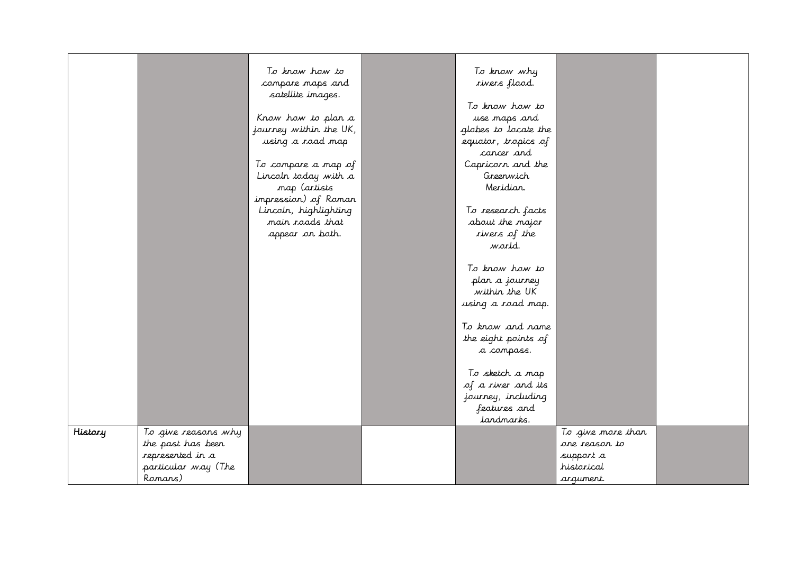|         |                     | To know how to         | To know why          |                   |  |
|---------|---------------------|------------------------|----------------------|-------------------|--|
|         |                     | compare maps and       | xivers flood.        |                   |  |
|         |                     | satellite images.      |                      |                   |  |
|         |                     |                        | To know how to       |                   |  |
|         |                     | Know how to plan a     | use maps and         |                   |  |
|         |                     | journey within the UK, | globes to locate the |                   |  |
|         |                     | using a road map       | equator, tropics of  |                   |  |
|         |                     |                        | cancer and           |                   |  |
|         |                     | To compare a map of    | Capricorn and the    |                   |  |
|         |                     | Lincoln today with a   | Greenwich            |                   |  |
|         |                     | map (artists           | Meridian.            |                   |  |
|         |                     | impression) of Roman   |                      |                   |  |
|         |                     | Lincoln, highlighting  | To research facts    |                   |  |
|         |                     | main roads that        | about the major      |                   |  |
|         |                     | appear on both.        | rivers of the        |                   |  |
|         |                     |                        | world.               |                   |  |
|         |                     |                        |                      |                   |  |
|         |                     |                        | To know how to       |                   |  |
|         |                     |                        | plan a journey       |                   |  |
|         |                     |                        | within the UK        |                   |  |
|         |                     |                        | using a road map.    |                   |  |
|         |                     |                        |                      |                   |  |
|         |                     |                        | To know and name     |                   |  |
|         |                     |                        | the eight points of  |                   |  |
|         |                     |                        | a compass.           |                   |  |
|         |                     |                        |                      |                   |  |
|         |                     |                        | To sketch a map      |                   |  |
|         |                     |                        | of a river and its   |                   |  |
|         |                     |                        | journey, including   |                   |  |
|         |                     |                        | features and         |                   |  |
|         |                     |                        | landmarks.           |                   |  |
| History | To give reasons why |                        |                      | To give more than |  |
|         | the past has been   |                        |                      | one reason to     |  |
|         | represented in a    |                        |                      | support a         |  |
|         | particular way (The |                        |                      | historical        |  |
|         | Ranans)             |                        |                      | argument.         |  |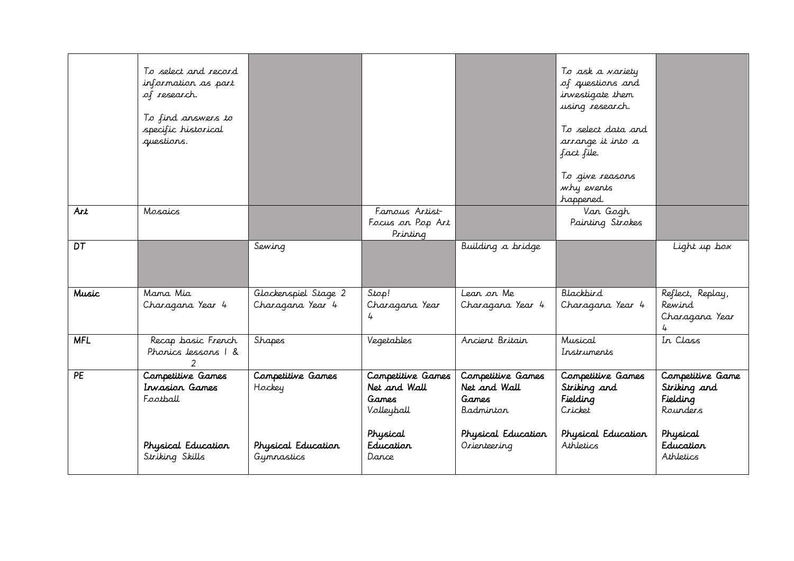|              | To select and record<br>information as part<br>of research.<br>To find answers to<br>specific historical<br>questions. |                                                                 |                                                                                            |                                                                                               | To ask a variety<br>of questions and<br>investigate them<br>using research.<br>To select data and<br>arrange it into a<br>fact file.<br>To give reasons<br>why events<br>happened. |                                                                                                |
|--------------|------------------------------------------------------------------------------------------------------------------------|-----------------------------------------------------------------|--------------------------------------------------------------------------------------------|-----------------------------------------------------------------------------------------------|------------------------------------------------------------------------------------------------------------------------------------------------------------------------------------|------------------------------------------------------------------------------------------------|
| <b>Art</b>   | Mosaics                                                                                                                |                                                                 | Fanous Artist-<br>Focus on Pop Art<br>Printing                                             |                                                                                               | Van Gogh<br>Painting Strokes                                                                                                                                                       |                                                                                                |
| DT           |                                                                                                                        | Sewing                                                          |                                                                                            | Building a bridge                                                                             |                                                                                                                                                                                    | Light up box                                                                                   |
| <b>Music</b> | Mama Mia<br>Charagana Year 4                                                                                           | Glockenspiel Stage 2<br>Charagana Year 4                        | Stop!<br>Charagana Year<br>Ŀ                                                               | Lean on Me<br>Charagana Year 4                                                                | Blackbird<br>Charagana Year 4                                                                                                                                                      | Reflect, Replay,<br>Rewind<br>Charagana Year                                                   |
| <b>MFL</b>   | Recap basic French<br>Phonics lessons 1 &                                                                              | Shapes                                                          | Vegetables                                                                                 | Ancient Britain                                                                               | Musical<br>Instruments                                                                                                                                                             | In Class                                                                                       |
| <b>PE</b>    | Competitive Games<br>Invasion Games<br>Football<br>Physical Education<br>Striking Skills                               | Competitive Games<br>Hockey<br>Physical Education<br>Gymnastics | Competitive Games<br>Net and Wall<br>Games<br>Volleyball<br>Physical<br>Education<br>Dance | Competitive Games<br>Net and Wall<br>Games<br>Badminton<br>Physical Education<br>Orienteering | Competitive Games<br>Striking and<br>Fielding<br>Cricket<br>Physical Education<br>Athletics                                                                                        | Competitive Game<br>Striking and<br>Fielding<br>Rounders<br>Physical<br>Education<br>Athletics |